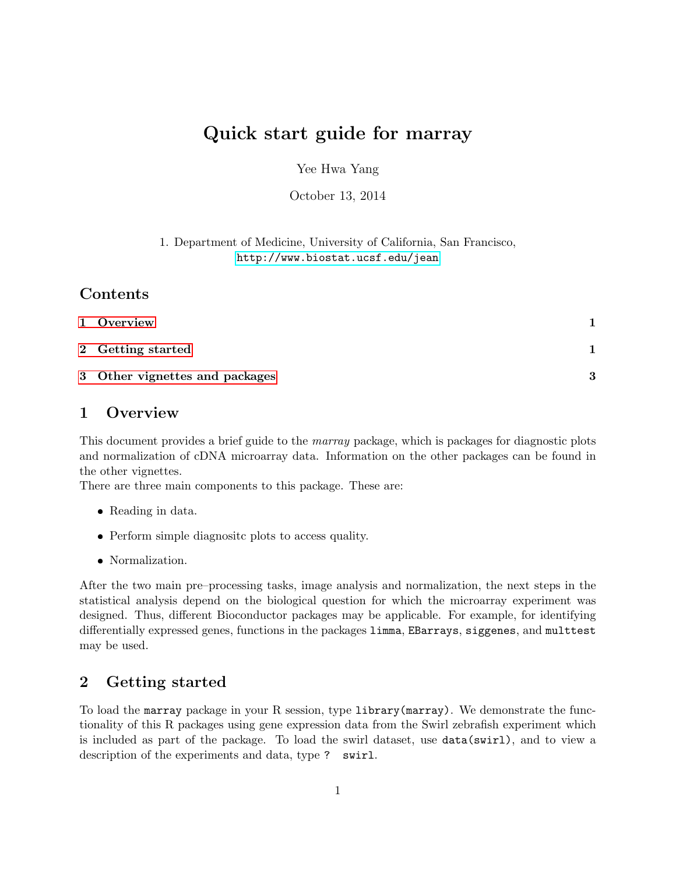# Quick start guide for marray

Yee Hwa Yang

October 13, 2014

1. Department of Medicine, University of California, San Francisco, <http://www.biostat.ucsf.edu/jean>

#### Contents

| 1 Overview                     |   |
|--------------------------------|---|
| 2 Getting started              |   |
| 3 Other vignettes and packages | २ |

### <span id="page-0-0"></span>1 Overview

This document provides a brief guide to the *marray* package, which is packages for diagnostic plots and normalization of cDNA microarray data. Information on the other packages can be found in the other vignettes.

There are three main components to this package. These are:

- Reading in data.
- Perform simple diagnositc plots to access quality.
- Normalization.

After the two main pre–processing tasks, image analysis and normalization, the next steps in the statistical analysis depend on the biological question for which the microarray experiment was designed. Thus, different Bioconductor packages may be applicable. For example, for identifying differentially expressed genes, functions in the packages limma, EBarrays, siggenes, and multtest may be used.

## <span id="page-0-1"></span>2 Getting started

To load the marray package in your R session, type library(marray). We demonstrate the functionality of this R packages using gene expression data from the Swirl zebrafish experiment which is included as part of the package. To load the swirl dataset, use data(swirl), and to view a description of the experiments and data, type ? swirl.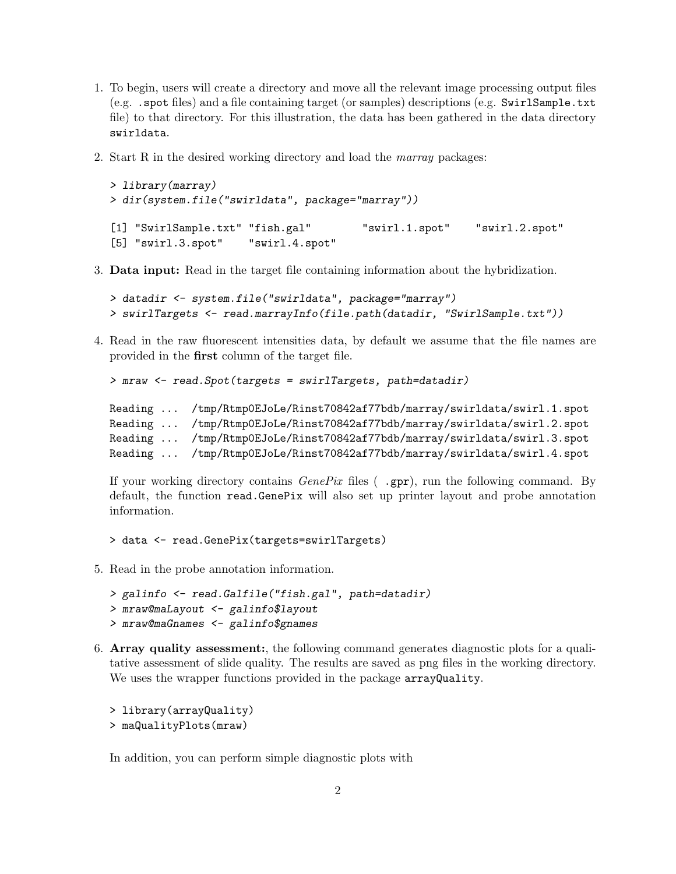- 1. To begin, users will create a directory and move all the relevant image processing output files (e.g. .spot files) and a file containing target (or samples) descriptions (e.g. SwirlSample.txt file) to that directory. For this illustration, the data has been gathered in the data directory swirldata.
- 2. Start R in the desired working directory and load the marray packages:

```
> library(marray)
> dir(system.file("swirldata", package="marray"))
[1] "SwirlSample.txt" "fish.gal" "swirl.1.spot" "swirl.2.spot"
[5] "swirl.3.spot" "swirl.4.spot"
```
3. Data input: Read in the target file containing information about the hybridization.

```
> datadir <- system.file("swirldata", package="marray")
> swirlTargets <- read.marrayInfo(file.path(datadir, "SwirlSample.txt"))
```
4. Read in the raw fluorescent intensities data, by default we assume that the file names are provided in the first column of the target file.

```
> mraw <- read.Spot(targets = swirlTargets, path=datadir)
```

```
Reading ... /tmp/Rtmp0EJoLe/Rinst70842af77bdb/marray/swirldata/swirl.1.spot
Reading ... /tmp/Rtmp0EJoLe/Rinst70842af77bdb/marray/swirldata/swirl.2.spot
Reading ... /tmp/Rtmp0EJoLe/Rinst70842af77bdb/marray/swirldata/swirl.3.spot
Reading ... /tmp/Rtmp0EJoLe/Rinst70842af77bdb/marray/swirldata/swirl.4.spot
```
If your working directory contains  $GeneFix$  files ( .gpr), run the following command. By default, the function read.GenePix will also set up printer layout and probe annotation information.

> data <- read.GenePix(targets=swirlTargets)

5. Read in the probe annotation information.

```
> galinfo <- read.Galfile("fish.gal", path=datadir)
> mraw@maLayout <- galinfo$layout
> mraw@maGnames <- galinfo$gnames
```
6. Array quality assessment:, the following command generates diagnostic plots for a qualitative assessment of slide quality. The results are saved as png files in the working directory. We uses the wrapper functions provided in the package arrayQuality.

```
> library(arrayQuality)
> maQualityPlots(mraw)
```
In addition, you can perform simple diagnostic plots with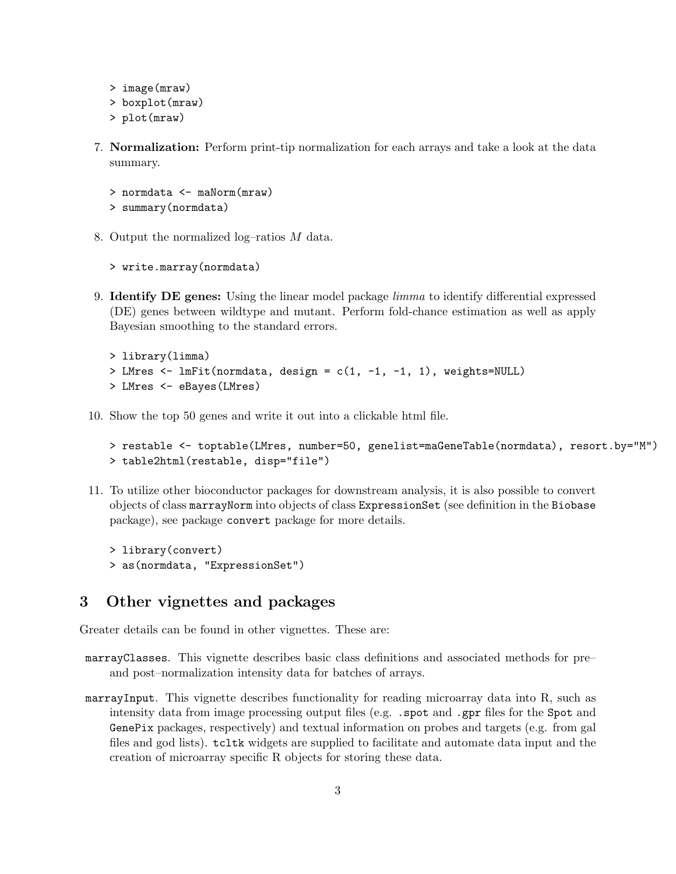```
> image(mraw)
> boxplot(mraw)
> plot(mraw)
```
7. Normalization: Perform print-tip normalization for each arrays and take a look at the data summary.

```
> normdata <- maNorm(mraw)
> summary(normdata)
```
8. Output the normalized log–ratios M data.

```
> write.marray(normdata)
```
9. **Identify DE genes:** Using the linear model package *limma* to identify differential expressed (DE) genes between wildtype and mutant. Perform fold-chance estimation as well as apply Bayesian smoothing to the standard errors.

```
> library(limma)
> LMres <- lmFit(normdata, design = c(1, -1, -1, 1), weights=NULL)
> LMres <- eBayes(LMres)
```
10. Show the top 50 genes and write it out into a clickable html file.

```
> restable <- toptable(LMres, number=50, genelist=maGeneTable(normdata), resort.by="M")
> table2html(restable, disp="file")
```
11. To utilize other bioconductor packages for downstream analysis, it is also possible to convert objects of class marrayNorm into objects of class ExpressionSet (see definition in the Biobase package), see package convert package for more details.

```
> library(convert)
> as(normdata, "ExpressionSet")
```
### <span id="page-2-0"></span>3 Other vignettes and packages

Greater details can be found in other vignettes. These are:

- marrayClasses. This vignette describes basic class definitions and associated methods for pre– and post–normalization intensity data for batches of arrays.
- marrayInput. This vignette describes functionality for reading microarray data into R, such as intensity data from image processing output files (e.g. . spot and .gpr files for the Spot and GenePix packages, respectively) and textual information on probes and targets (e.g. from gal files and god lists). tcltk widgets are supplied to facilitate and automate data input and the creation of microarray specific R objects for storing these data.